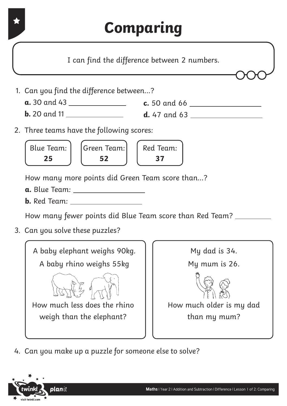

I can find the difference between 2 numbers.

- 1. Can you find the difference between...?
	- **a.** 30 and 43 **c.** 50 and 66
	- **b.** 20 and 11 **d.** 47 and 63
- 2. Three teams have the following scores:



How many more points did Green Team score than...?

- **a.** Blue Team:
- **b.** Red Team:

How many fewer points did Blue Team score than Red Team?

3. Can you solve these puzzles?





4. Can you make up a puzzle for someone else to solve?

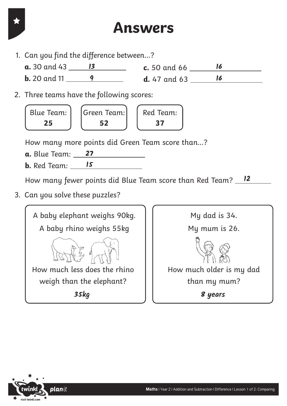## **Answers**

- 1. Can you find the difference between...?
	- **a.** 30 and 43 **c.** 50 and 66 **13 16 b.** 20 and 11 **d.** 47 and 63 **9 16**
- 2. Three teams have the following scores:



How many more points did Green Team score than...?

- **a.** Blue Team: **27**
- **b.** Red Team: **15**

How many fewer points did Blue Team score than Red Team? **12**

3. Can you solve these puzzles?



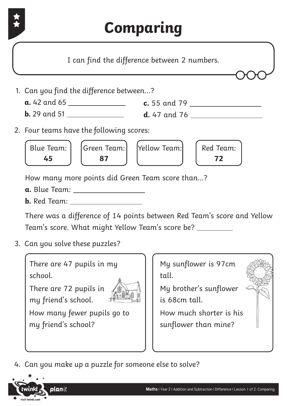

**45 87 72**

How many more points did Green Team score than...?

- **a.** Blue Team:
- **b.** Red Team:

There was a difference of 14 points between Red Team's score and Yellow Team's score. What might Yellow Team's score be?

3. Can you solve these puzzles?

There are 47 pupils in my school.

There are 72 pupils in my friend's school.



How many fewer pupils go to my friend's school?

My sunflower is 97cm tall.

My brother's sunflower is 68cm tall.

How much shorter is his sunflower than mine?

4. Can you make up a puzzle for someone else to solve?

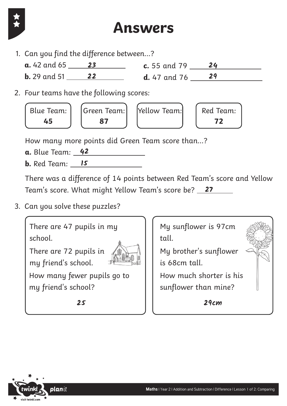

## **Answers**

- 1. Can you find the difference between...?
	- **a.** 42 and 65 **c.** 55 and 79 **23 24 b.** 29 and 51 **d.** 47 and 76 **22 29**
- 2. Four teams have the following scores:



How many more points did Green Team score than...?

- **a.** Blue Team: **42**
- **b.** Red Team: **15**

There was a difference of 14 points between Red Team's score and Yellow Team's score. What might Yellow Team's score be? **27**

3. Can you solve these puzzles?



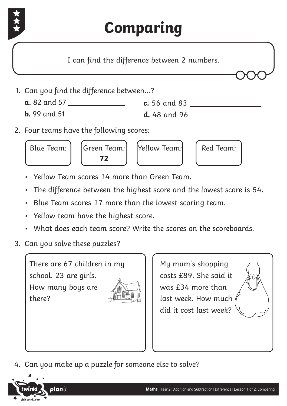

## **Comparing**

I can find the difference between 2 numbers.



- **a.** 82 and 57 **c.** 56 and 83
- **b.** 99 and 51 **d.** 48 and 96
- 2. Four teams have the following scores:



- Yellow Team scores 14 more than Green Team.
- The difference between the highest score and the lowest score is 54.
- Blue Team scores 17 more than the lowest scoring team.
- Yellow team have the highest score.
- What does each team score? Write the scores on the scoreboards.
- 3. Can you solve these puzzles?

There are 67 children in my school. 23 are girls. How many boys are there?



My mum's shopping costs £89. She said it was £34 more than last week. How much did it cost last week?



4. Can you make up a puzzle for someone else to solve?